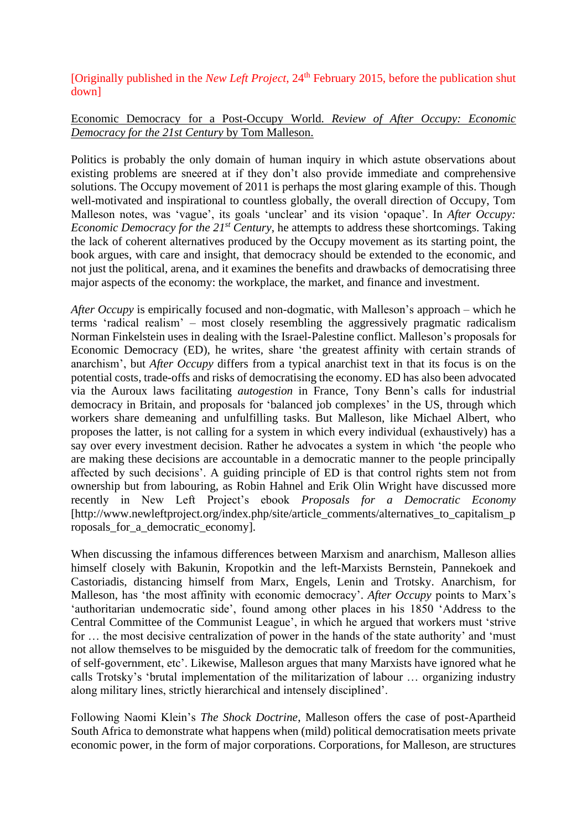[Originally published in the *New Left Project*, 24<sup>th</sup> February 2015, before the publication shut down]

Economic Democracy for a Post-Occupy World. *Review of After Occupy: Economic Democracy for the 21st Century* by Tom Malleson.

Politics is probably the only domain of human inquiry in which astute observations about existing problems are sneered at if they don't also provide immediate and comprehensive solutions. The Occupy movement of 2011 is perhaps the most glaring example of this. Though well-motivated and inspirational to countless globally, the overall direction of Occupy, Tom Malleson notes, was 'vague', its goals 'unclear' and its vision 'opaque'. In *After Occupy: Economic Democracy for the 21st Century*, he attempts to address these shortcomings. Taking the lack of coherent alternatives produced by the Occupy movement as its starting point, the book argues, with care and insight, that democracy should be extended to the economic, and not just the political, arena, and it examines the benefits and drawbacks of democratising three major aspects of the economy: the workplace, the market, and finance and investment.

*After Occupy* is empirically focused and non-dogmatic, with Malleson's approach – which he terms 'radical realism' – most closely resembling the aggressively pragmatic radicalism Norman Finkelstein uses in dealing with the Israel-Palestine conflict. Malleson's proposals for Economic Democracy (ED), he writes, share 'the greatest affinity with certain strands of anarchism', but *After Occupy* differs from a typical anarchist text in that its focus is on the potential costs, trade-offs and risks of democratising the economy. ED has also been advocated via the Auroux laws facilitating *autogestion* in France, Tony Benn's calls for industrial democracy in Britain, and proposals for 'balanced job complexes' in the US, through which workers share demeaning and unfulfilling tasks. But Malleson, like Michael Albert, who proposes the latter, is not calling for a system in which every individual (exhaustively) has a say over every investment decision. Rather he advocates a system in which 'the people who are making these decisions are accountable in a democratic manner to the people principally affected by such decisions'. A guiding principle of ED is that control rights stem not from ownership but from labouring, as Robin Hahnel and Erik Olin Wright have discussed more recently in New Left Project's ebook *Proposals for a Democratic Economy* [http://www.newleftproject.org/index.php/site/article\_comments/alternatives\_to\_capitalism\_p roposals for a democratic economy].

When discussing the infamous differences between Marxism and anarchism, Malleson allies himself closely with Bakunin, Kropotkin and the left-Marxists Bernstein, Pannekoek and Castoriadis, distancing himself from Marx, Engels, Lenin and Trotsky. Anarchism, for Malleson, has 'the most affinity with economic democracy'. *After Occupy* points to Marx's 'authoritarian undemocratic side', found among other places in his 1850 'Address to the Central Committee of the Communist League', in which he argued that workers must 'strive for … the most decisive centralization of power in the hands of the state authority' and 'must not allow themselves to be misguided by the democratic talk of freedom for the communities, of self-government, etc'. Likewise, Malleson argues that many Marxists have ignored what he calls Trotsky's 'brutal implementation of the militarization of labour … organizing industry along military lines, strictly hierarchical and intensely disciplined'.

Following Naomi Klein's *The Shock Doctrine*, Malleson offers the case of post-Apartheid South Africa to demonstrate what happens when (mild) political democratisation meets private economic power, in the form of major corporations. Corporations, for Malleson, are structures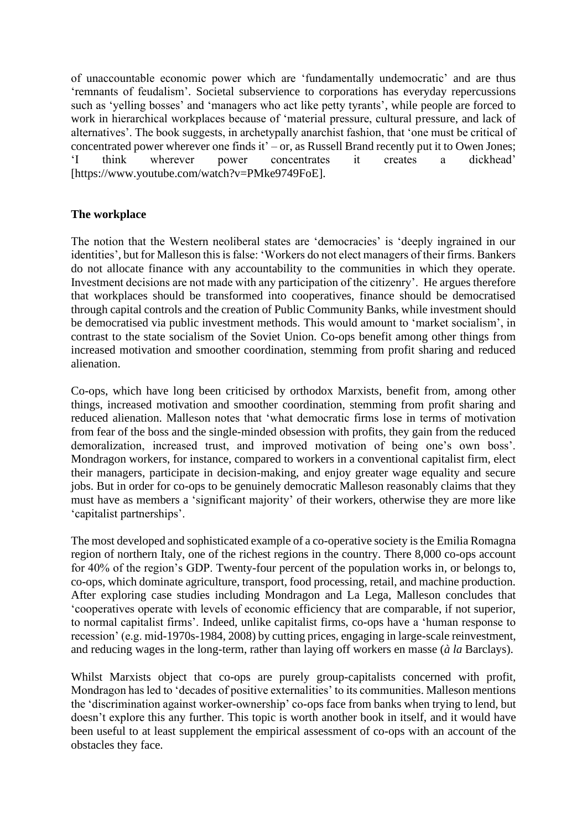of unaccountable economic power which are 'fundamentally undemocratic' and are thus 'remnants of feudalism'. Societal subservience to corporations has everyday repercussions such as 'yelling bosses' and 'managers who act like petty tyrants', while people are forced to work in hierarchical workplaces because of 'material pressure, cultural pressure, and lack of alternatives'. The book suggests, in archetypally anarchist fashion, that 'one must be critical of concentrated power wherever one finds it' $-$  or, as Russell Brand recently put it to Owen Jones; 'I think wherever power concentrates it creates a dickhead' [https://www.youtube.com/watch?v=PMke9749FoE].

## **The workplace**

The notion that the Western neoliberal states are 'democracies' is 'deeply ingrained in our identities', but for Malleson this is false: 'Workers do not elect managers of their firms. Bankers do not allocate finance with any accountability to the communities in which they operate. Investment decisions are not made with any participation of the citizenry'. He argues therefore that workplaces should be transformed into cooperatives, finance should be democratised through capital controls and the creation of Public Community Banks, while investment should be democratised via public investment methods. This would amount to 'market socialism', in contrast to the state socialism of the Soviet Union. Co-ops benefit among other things from increased motivation and smoother coordination, stemming from profit sharing and reduced alienation.

Co-ops, which have long been criticised by orthodox Marxists, benefit from, among other things, increased motivation and smoother coordination, stemming from profit sharing and reduced alienation. Malleson notes that 'what democratic firms lose in terms of motivation from fear of the boss and the single-minded obsession with profits, they gain from the reduced demoralization, increased trust, and improved motivation of being one's own boss'. Mondragon workers, for instance, compared to workers in a conventional capitalist firm, elect their managers, participate in decision-making, and enjoy greater wage equality and secure jobs. But in order for co-ops to be genuinely democratic Malleson reasonably claims that they must have as members a 'significant majority' of their workers, otherwise they are more like 'capitalist partnerships'.

The most developed and sophisticated example of a co-operative society is the Emilia Romagna region of northern Italy, one of the richest regions in the country. There 8,000 co-ops account for 40% of the region's GDP. Twenty-four percent of the population works in, or belongs to, co-ops, which dominate agriculture, transport, food processing, retail, and machine production. After exploring case studies including Mondragon and La Lega, Malleson concludes that 'cooperatives operate with levels of economic efficiency that are comparable, if not superior, to normal capitalist firms'. Indeed, unlike capitalist firms, co-ops have a 'human response to recession' (e.g. mid-1970s-1984, 2008) by cutting prices, engaging in large-scale reinvestment, and reducing wages in the long-term, rather than laying off workers en masse (*à la* Barclays).

Whilst Marxists object that co-ops are purely group-capitalists concerned with profit, Mondragon has led to 'decades of positive externalities' to its communities. Malleson mentions the 'discrimination against worker-ownership' co-ops face from banks when trying to lend, but doesn't explore this any further. This topic is worth another book in itself, and it would have been useful to at least supplement the empirical assessment of co-ops with an account of the obstacles they face.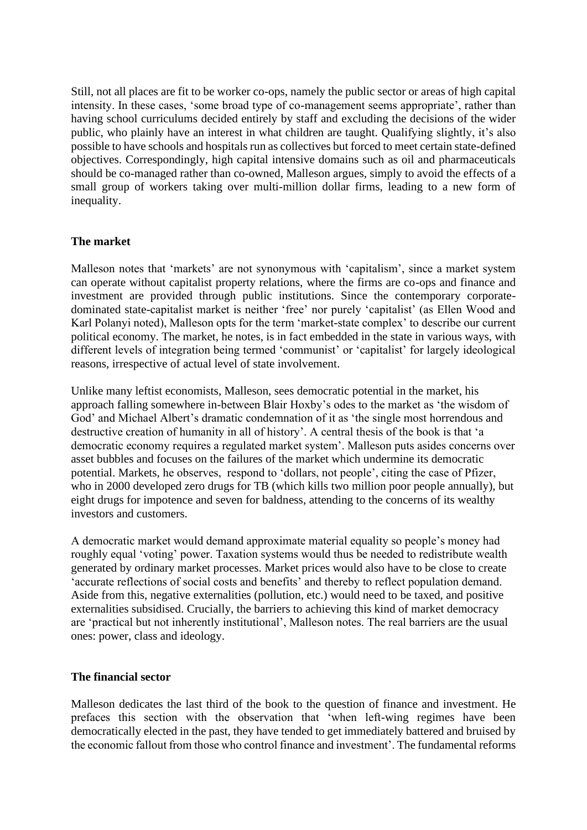Still, not all places are fit to be worker co-ops, namely the public sector or areas of high capital intensity. In these cases, 'some broad type of co-management seems appropriate', rather than having school curriculums decided entirely by staff and excluding the decisions of the wider public, who plainly have an interest in what children are taught. Qualifying slightly, it's also possible to have schools and hospitals run as collectives but forced to meet certain state-defined objectives. Correspondingly, high capital intensive domains such as oil and pharmaceuticals should be co-managed rather than co-owned, Malleson argues, simply to avoid the effects of a small group of workers taking over multi-million dollar firms, leading to a new form of inequality.

## **The market**

Malleson notes that 'markets' are not synonymous with 'capitalism', since a market system can operate without capitalist property relations, where the firms are co-ops and finance and investment are provided through public institutions. Since the contemporary corporatedominated state-capitalist market is neither 'free' nor purely 'capitalist' (as Ellen Wood and Karl Polanyi noted), Malleson opts for the term 'market-state complex' to describe our current political economy. The market, he notes, is in fact embedded in the state in various ways, with different levels of integration being termed 'communist' or 'capitalist' for largely ideological reasons, irrespective of actual level of state involvement.

Unlike many leftist economists, Malleson, sees democratic potential in the market, his approach falling somewhere in-between Blair Hoxby's odes to the market as 'the wisdom of God' and Michael Albert's dramatic condemnation of it as 'the single most horrendous and destructive creation of humanity in all of history'. A central thesis of the book is that 'a democratic economy requires a regulated market system'. Malleson puts asides concerns over asset bubbles and focuses on the failures of the market which undermine its democratic potential. Markets, he observes, respond to 'dollars, not people', citing the case of Pfizer, who in 2000 developed zero drugs for TB (which kills two million poor people annually), but eight drugs for impotence and seven for baldness, attending to the concerns of its wealthy investors and customers.

A democratic market would demand approximate material equality so people's money had roughly equal 'voting' power. Taxation systems would thus be needed to redistribute wealth generated by ordinary market processes. Market prices would also have to be close to create 'accurate reflections of social costs and benefits' and thereby to reflect population demand. Aside from this, negative externalities (pollution, etc.) would need to be taxed, and positive externalities subsidised. Crucially, the barriers to achieving this kind of market democracy are 'practical but not inherently institutional', Malleson notes. The real barriers are the usual ones: power, class and ideology.

## **The financial sector**

Malleson dedicates the last third of the book to the question of finance and investment. He prefaces this section with the observation that 'when left-wing regimes have been democratically elected in the past, they have tended to get immediately battered and bruised by the economic fallout from those who control finance and investment'. The fundamental reforms